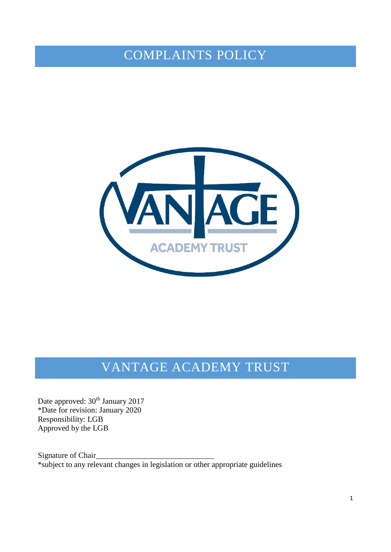# COMPLAINTS POLICY



# VANTAGE ACADEMY TRUST

Date approved:  $30<sup>th</sup>$  January 2017 \*Date for revision: January 2020 Responsibility: LGB Approved by the LGB

Signature of Chair \*subject to any relevant changes in legislation or other appropriate guidelines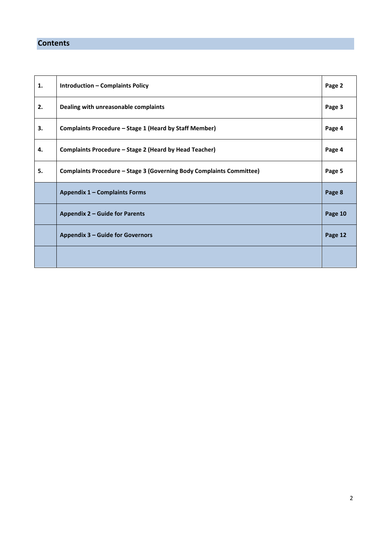# **Contents**

| 1. | <b>Introduction - Complaints Policy</b>                              | Page 2  |
|----|----------------------------------------------------------------------|---------|
| 2. | Dealing with unreasonable complaints                                 | Page 3  |
| 3. | Complaints Procedure - Stage 1 (Heard by Staff Member)               | Page 4  |
| 4. | Complaints Procedure - Stage 2 (Heard by Head Teacher)               | Page 4  |
| 5. | Complaints Procedure - Stage 3 (Governing Body Complaints Committee) | Page 5  |
|    | Appendix 1 - Complaints Forms                                        | Page 8  |
|    | Appendix 2 - Guide for Parents                                       | Page 10 |
|    | Appendix 3 - Guide for Governors                                     | Page 12 |
|    |                                                                      |         |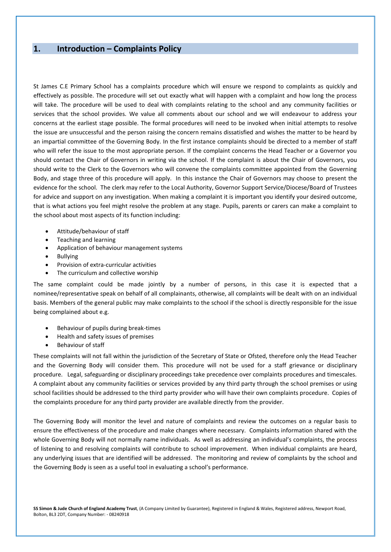## **1. Introduction – Complaints Policy**

St James C.E Primary School has a complaints procedure which will ensure we respond to complaints as quickly and effectively as possible. The procedure will set out exactly what will happen with a complaint and how long the process will take. The procedure will be used to deal with complaints relating to the school and any community facilities or services that the school provides. We value all comments about our school and we will endeavour to address your concerns at the earliest stage possible. The formal procedures will need to be invoked when initial attempts to resolve the issue are unsuccessful and the person raising the concern remains dissatisfied and wishes the matter to be heard by an impartial committee of the Governing Body. In the first instance complaints should be directed to a member of staff who will refer the issue to the most appropriate person. If the complaint concerns the Head Teacher or a Governor you should contact the Chair of Governors in writing via the school. If the complaint is about the Chair of Governors, you should write to the Clerk to the Governors who will convene the complaints committee appointed from the Governing Body, and stage three of this procedure will apply. In this instance the Chair of Governors may choose to present the evidence for the school. The clerk may refer to the Local Authority, Governor Support Service/Diocese/Board of Trustees for advice and support on any investigation. When making a complaint it is important you identify your desired outcome, that is what actions you feel might resolve the problem at any stage. Pupils, parents or carers can make a complaint to the school about most aspects of its function including:

- Attitude/behaviour of staff
- Teaching and learning
- Application of behaviour management systems
- Bullying
- Provision of extra-curricular activities
- The curriculum and collective worship

The same complaint could be made jointly by a number of persons, in this case it is expected that a nominee/representative speak on behalf of all complainants, otherwise, all complaints will be dealt with on an individual basis. Members of the general public may make complaints to the school if the school is directly responsible for the issue being complained about e.g.

- Behaviour of pupils during break-times
- Health and safety issues of premises
- Behaviour of staff

These complaints will not fall within the jurisdiction of the Secretary of State or Ofsted, therefore only the Head Teacher and the Governing Body will consider them. This procedure will not be used for a staff grievance or disciplinary procedure. Legal, safeguarding or disciplinary proceedings take precedence over complaints procedures and timescales. A complaint about any community facilities or services provided by any third party through the school premises or using school facilities should be addressed to the third party provider who will have their own complaints procedure. Copies of the complaints procedure for any third party provider are available directly from the provider.

The Governing Body will monitor the level and nature of complaints and review the outcomes on a regular basis to ensure the effectiveness of the procedure and make changes where necessary. Complaints information shared with the whole Governing Body will not normally name individuals. As well as addressing an individual's complaints, the process of listening to and resolving complaints will contribute to school improvement. When individual complaints are heard, any underlying issues that are identified will be addressed. The monitoring and review of complaints by the school and the Governing Body is seen as a useful tool in evaluating a school's performance.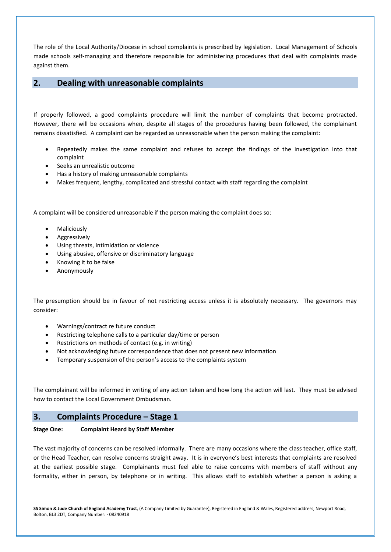The role of the Local Authority/Diocese in school complaints is prescribed by legislation. Local Management of Schools made schools self-managing and therefore responsible for administering procedures that deal with complaints made against them.

## **2. Dealing with unreasonable complaints**

If properly followed, a good complaints procedure will limit the number of complaints that become protracted. However, there will be occasions when, despite all stages of the procedures having been followed, the complainant remains dissatisfied. A complaint can be regarded as unreasonable when the person making the complaint:

- Repeatedly makes the same complaint and refuses to accept the findings of the investigation into that complaint
- Seeks an unrealistic outcome
- Has a history of making unreasonable complaints
- Makes frequent, lengthy, complicated and stressful contact with staff regarding the complaint

A complaint will be considered unreasonable if the person making the complaint does so:

- Maliciously
- Aggressively
- Using threats, intimidation or violence
- Using abusive, offensive or discriminatory language
- Knowing it to be false
- Anonymously

The presumption should be in favour of not restricting access unless it is absolutely necessary. The governors may consider:

- Warnings/contract re future conduct
- Restricting telephone calls to a particular day/time or person
- Restrictions on methods of contact (e.g. in writing)
- Not acknowledging future correspondence that does not present new information
- Temporary suspension of the person's access to the complaints system

The complainant will be informed in writing of any action taken and how long the action will last. They must be advised how to contact the Local Government Ombudsman.

## **3. Complaints Procedure – Stage 1**

#### **Stage One: Complaint Heard by Staff Member**

The vast majority of concerns can be resolved informally. There are many occasions where the class teacher, office staff, or the Head Teacher, can resolve concerns straight away. It is in everyone's best interests that complaints are resolved at the earliest possible stage. Complainants must feel able to raise concerns with members of staff without any formality, either in person, by telephone or in writing. This allows staff to establish whether a person is asking a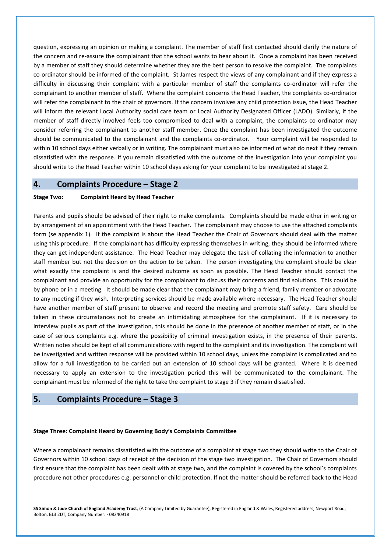question, expressing an opinion or making a complaint. The member of staff first contacted should clarify the nature of the concern and re-assure the complainant that the school wants to hear about it. Once a complaint has been received by a member of staff they should determine whether they are the best person to resolve the complaint. The complaints co-ordinator should be informed of the complaint. St James respect the views of any complainant and if they express a difficulty in discussing their complaint with a particular member of staff the complaints co-ordinator will refer the complainant to another member of staff. Where the complaint concerns the Head Teacher, the complaints co-ordinator will refer the complainant to the chair of governors. If the concern involves any child protection issue, the Head Teacher will inform the relevant Local Authority social care team or Local Authority Designated Officer (LADO). Similarly, if the member of staff directly involved feels too compromised to deal with a complaint, the complaints co-ordinator may consider referring the complainant to another staff member. Once the complaint has been investigated the outcome should be communicated to the complainant and the complaints co-ordinator. Your complaint will be responded to within 10 school days either verbally or in writing. The complainant must also be informed of what do next if they remain dissatisfied with the response. If you remain dissatisfied with the outcome of the investigation into your complaint you should write to the Head Teacher within 10 school days asking for your complaint to be investigated at stage 2.

## **4. Complaints Procedure – Stage 2**

### **Stage Two: Complaint Heard by Head Teacher**

Parents and pupils should be advised of their right to make complaints. Complaints should be made either in writing or by arrangement of an appointment with the Head Teacher. The complainant may choose to use the attached complaints form (se appendix 1). If the complaint is about the Head Teacher the Chair of Governors should deal with the matter using this procedure. If the complainant has difficulty expressing themselves in writing, they should be informed where they can get independent assistance. The Head Teacher may delegate the task of collating the information to another staff member but not the decision on the action to be taken. The person investigating the complaint should be clear what exactly the complaint is and the desired outcome as soon as possible. The Head Teacher should contact the complainant and provide an opportunity for the complainant to discuss their concerns and find solutions. This could be by phone or in a meeting. It should be made clear that the complainant may bring a friend, family member or advocate to any meeting if they wish. Interpreting services should be made available where necessary. The Head Teacher should have another member of staff present to observe and record the meeting and promote staff safety. Care should be taken in these circumstances not to create an intimidating atmosphere for the complainant. If it is necessary to interview pupils as part of the investigation, this should be done in the presence of another member of staff, or in the case of serious complaints e.g. where the possibility of criminal investigation exists, in the presence of their parents. Written notes should be kept of all communications with regard to the complaint and its investigation. The complaint will be investigated and written response will be provided within 10 school days, unless the complaint is complicated and to allow for a full investigation to be carried out an extension of 10 school days will be granted. Where it is deemed necessary to apply an extension to the investigation period this will be communicated to the complainant. The complainant must be informed of the right to take the complaint to stage 3 if they remain dissatisfied.

### **5. Complaints Procedure – Stage 3**

#### **Stage Three: Complaint Heard by Governing Body's Complaints Committee**

Where a complainant remains dissatisfied with the outcome of a complaint at stage two they should write to the Chair of Governors within 10 school days of receipt of the decision of the stage two investigation. The Chair of Governors should first ensure that the complaint has been dealt with at stage two, and the complaint is covered by the school's complaints procedure not other procedures e.g. personnel or child protection. If not the matter should be referred back to the Head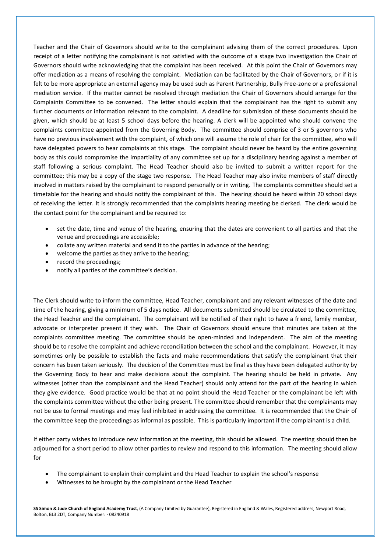Teacher and the Chair of Governors should write to the complainant advising them of the correct procedures. Upon receipt of a letter notifying the complainant is not satisfied with the outcome of a stage two investigation the Chair of Governors should write acknowledging that the complaint has been received. At this point the Chair of Governors may offer mediation as a means of resolving the complaint. Mediation can be facilitated by the Chair of Governors, or if it is felt to be more appropriate an external agency may be used such as Parent Partnership, Bully Free-zone or a professional mediation service. If the matter cannot be resolved through mediation the Chair of Governors should arrange for the Complaints Committee to be convened. The letter should explain that the complainant has the right to submit any further documents or information relevant to the complaint. A deadline for submission of these documents should be given, which should be at least 5 school days before the hearing. A clerk will be appointed who should convene the complaints committee appointed from the Governing Body. The committee should comprise of 3 or 5 governors who have no previous involvement with the complaint, of which one will assume the role of chair for the committee, who will have delegated powers to hear complaints at this stage. The complaint should never be heard by the entire governing body as this could compromise the impartiality of any committee set up for a disciplinary hearing against a member of staff following a serious complaint. The Head Teacher should also be invited to submit a written report for the committee; this may be a copy of the stage two response. The Head Teacher may also invite members of staff directly involved in matters raised by the complainant to respond personally or in writing. The complaints committee should set a timetable for the hearing and should notify the complainant of this. The hearing should be heard within 20 school days of receiving the letter. It is strongly recommended that the complaints hearing meeting be clerked. The clerk would be the contact point for the complainant and be required to:

- set the date, time and venue of the hearing, ensuring that the dates are convenient to all parties and that the venue and proceedings are accessible;
- collate any written material and send it to the parties in advance of the hearing;
- welcome the parties as they arrive to the hearing;
- record the proceedings;
- notify all parties of the committee's decision.

The Clerk should write to inform the committee, Head Teacher, complainant and any relevant witnesses of the date and time of the hearing, giving a minimum of 5 days notice. All documents submitted should be circulated to the committee, the Head Teacher and the complainant. The complainant will be notified of their right to have a friend, family member, advocate or interpreter present if they wish. The Chair of Governors should ensure that minutes are taken at the complaints committee meeting. The committee should be open-minded and independent. The aim of the meeting should be to resolve the complaint and achieve reconciliation between the school and the complainant. However, it may sometimes only be possible to establish the facts and make recommendations that satisfy the complainant that their concern has been taken seriously. The decision of the Committee must be final as they have been delegated authority by the Governing Body to hear and make decisions about the complaint. The hearing should be held in private. Any witnesses (other than the complainant and the Head Teacher) should only attend for the part of the hearing in which they give evidence. Good practice would be that at no point should the Head Teacher or the complainant be left with the complaints committee without the other being present. The committee should remember that the complainants may not be use to formal meetings and may feel inhibited in addressing the committee. It is recommended that the Chair of the committee keep the proceedings as informal as possible. This is particularly important if the complainant is a child.

If either party wishes to introduce new information at the meeting, this should be allowed. The meeting should then be adjourned for a short period to allow other parties to review and respond to this information. The meeting should allow for

- The complainant to explain their complaint and the Head Teacher to explain the school's response
- Witnesses to be brought by the complainant or the Head Teacher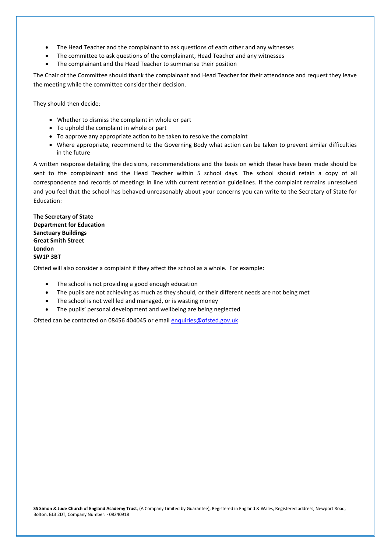- The Head Teacher and the complainant to ask questions of each other and any witnesses
- The committee to ask questions of the complainant, Head Teacher and any witnesses
- The complainant and the Head Teacher to summarise their position

The Chair of the Committee should thank the complainant and Head Teacher for their attendance and request they leave the meeting while the committee consider their decision.

They should then decide:

- Whether to dismiss the complaint in whole or part
- To uphold the complaint in whole or part
- To approve any appropriate action to be taken to resolve the complaint
- Where appropriate, recommend to the Governing Body what action can be taken to prevent similar difficulties in the future

A written response detailing the decisions, recommendations and the basis on which these have been made should be sent to the complainant and the Head Teacher within 5 school days. The school should retain a copy of all correspondence and records of meetings in line with current retention guidelines. If the complaint remains unresolved and you feel that the school has behaved unreasonably about your concerns you can write to the Secretary of State for Education:

**The Secretary of State Department for Education Sanctuary Buildings Great Smith Street London SW1P 3BT**

Ofsted will also consider a complaint if they affect the school as a whole. For example:

- The school is not providing a good enough education
- The pupils are not achieving as much as they should, or their different needs are not being met
- The school is not well led and managed, or is wasting money
- The pupils' personal development and wellbeing are being neglected

Ofsted can be contacted on 08456 404045 or email [enquiries@ofsted.gov.uk](mailto:enquiries@ofsted.gov.uk)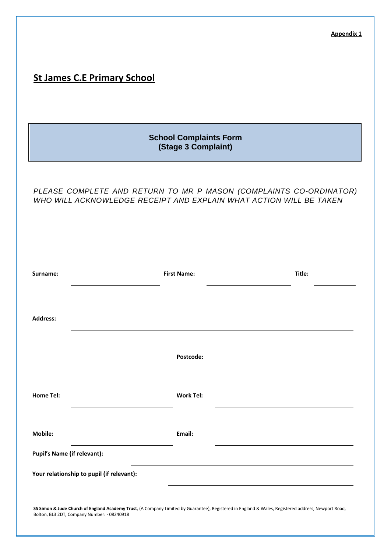|                                    |                                                      | <b>Appendix 1</b>                                                                                                                                   |  |  |  |
|------------------------------------|------------------------------------------------------|-----------------------------------------------------------------------------------------------------------------------------------------------------|--|--|--|
| <b>St James C.E Primary School</b> |                                                      |                                                                                                                                                     |  |  |  |
|                                    | <b>School Complaints Form</b><br>(Stage 3 Complaint) |                                                                                                                                                     |  |  |  |
|                                    |                                                      | PLEASE COMPLETE AND RETURN TO MR P MASON (COMPLAINTS CO-ORDINATOR)<br>WHO WILL ACKNOWLEDGE RECEIPT AND EXPLAIN WHAT ACTION WILL BE TAKEN            |  |  |  |
| Surname:                           | <b>First Name:</b>                                   | Title:                                                                                                                                              |  |  |  |
| <b>Address:</b>                    |                                                      |                                                                                                                                                     |  |  |  |
|                                    | Postcode:                                            |                                                                                                                                                     |  |  |  |
| <b>Home Tel:</b>                   | <b>Work Tel:</b>                                     |                                                                                                                                                     |  |  |  |
| Mobile:                            | Email:                                               |                                                                                                                                                     |  |  |  |
| <b>Pupil's Name (if relevant):</b> |                                                      |                                                                                                                                                     |  |  |  |
|                                    | Your relationship to pupil (if relevant):            |                                                                                                                                                     |  |  |  |
|                                    |                                                      |                                                                                                                                                     |  |  |  |
|                                    | Bolton, BL3 2DT, Company Number: - 08240918          | SS Simon & Jude Church of England Academy Trust, (A Company Limited by Guarantee), Registered in England & Wales, Registered address, Newport Road, |  |  |  |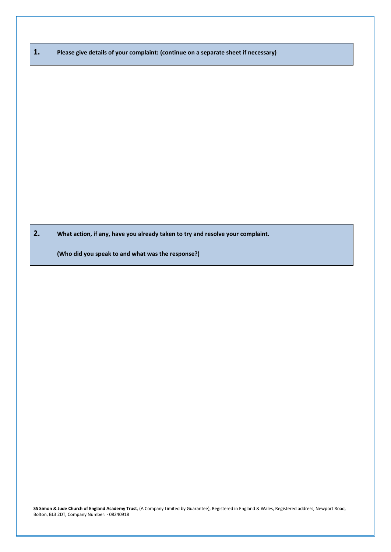**1. Please give details of your complaint: (continue on a separate sheet if necessary)**

**2. What action, if any, have you already taken to try and resolve your complaint.** 

**(Who did you speak to and what was the response?)**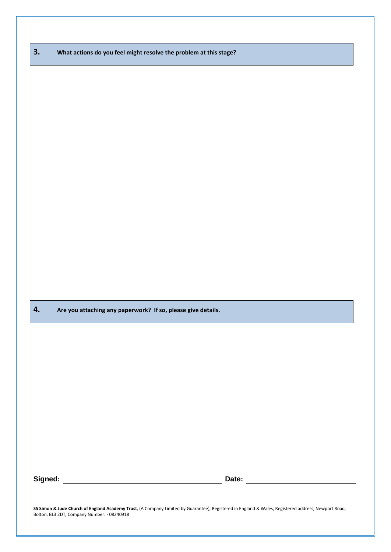| 3.<br>What actions do you feel might resolve the problem at this stage? |  |
|-------------------------------------------------------------------------|--|
|-------------------------------------------------------------------------|--|

**4. Are you attaching any paperwork? If so, please give details.**

**Signed:** <u>**Date: Date: Date: Date: Date: Date: Date:** <u>**Date: Date: Date: Date: Date: Date: Date: Date: Date: Date: Date: Date: Date: Date: Date: Date: Date: Date: Date: D</u></u>**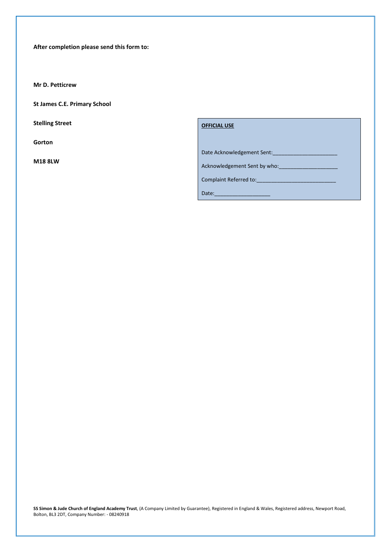**After completion please send this form to:**

**Mr D. Petticrew**

**St James C.E. Primary School** 

**Stelling Street**

**Gorton**

**M18 8LW**

**OFFICIAL USE**

Date Acknowledgement Sent:

Acknowledgement Sent by who:

Complaint Referred to:

Date: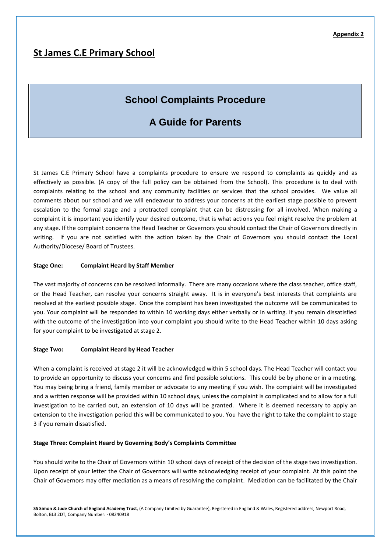# **St James C.E Primary School**

# **School Complaints Procedure**

# **A Guide for Parents**

St James C.E Primary School have a complaints procedure to ensure we respond to complaints as quickly and as effectively as possible. (A copy of the full policy can be obtained from the School). This procedure is to deal with complaints relating to the school and any community facilities or services that the school provides. We value all comments about our school and we will endeavour to address your concerns at the earliest stage possible to prevent escalation to the formal stage and a protracted complaint that can be distressing for all involved. When making a complaint it is important you identify your desired outcome, that is what actions you feel might resolve the problem at any stage. If the complaint concerns the Head Teacher or Governors you should contact the Chair of Governors directly in writing. If you are not satisfied with the action taken by the Chair of Governors you should contact the Local Authority/Diocese/ Board of Trustees.

#### **Stage One: Complaint Heard by Staff Member**

The vast majority of concerns can be resolved informally. There are many occasions where the class teacher, office staff, or the Head Teacher, can resolve your concerns straight away. It is in everyone's best interests that complaints are resolved at the earliest possible stage. Once the complaint has been investigated the outcome will be communicated to you. Your complaint will be responded to within 10 working days either verbally or in writing. If you remain dissatisfied with the outcome of the investigation into your complaint you should write to the Head Teacher within 10 days asking for your complaint to be investigated at stage 2.

#### **Stage Two: Complaint Heard by Head Teacher**

When a complaint is received at stage 2 it will be acknowledged within 5 school days. The Head Teacher will contact you to provide an opportunity to discuss your concerns and find possible solutions. This could be by phone or in a meeting. You may being bring a friend, family member or advocate to any meeting if you wish. The complaint will be investigated and a written response will be provided within 10 school days, unless the complaint is complicated and to allow for a full investigation to be carried out, an extension of 10 days will be granted. Where it is deemed necessary to apply an extension to the investigation period this will be communicated to you. You have the right to take the complaint to stage 3 if you remain dissatisfied.

#### **Stage Three: Complaint Heard by Governing Body's Complaints Committee**

You should write to the Chair of Governors within 10 school days of receipt of the decision of the stage two investigation. Upon receipt of your letter the Chair of Governors will write acknowledging receipt of your complaint. At this point the Chair of Governors may offer mediation as a means of resolving the complaint. Mediation can be facilitated by the Chair